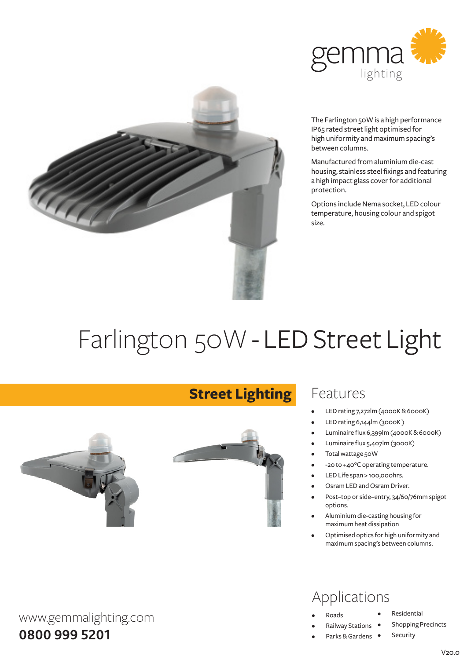



The Farlington 50W is a high performance IP65 rated street light optimised for high uniformity and maximum spacing's between columns.

Manufactured fromaluminiumdie-cast housing, stainless steel fixings and featuring a high impact glass cover for additional protection.

Options include Nema socket, LED colour temperature, housing colour and spigot size.

# Farlington 50W - LED Street Light

**Street Lighting**



www.gemmalighting.com

**0800 999 5201**

### Features

- LED rating 7,272lm (4000K & 6000K)
- LED rating 6,144lm (3000K)
- Luminaire flux 6,399lm (4000K & 6000K)
- Luminaire flux 5,407lm (3000K)
- Total wattage 50W
- -20 to +40°C operating temperature.
- LED Life span > 100,000hrs.
- Osram LED and Osram Driver.
- Post-top or side-entry, 34/60/76mm spigot options.
- Aluminium die-casting housing for maximumheat dissipation
- Optimised optics for high uniformity and maximumspacing's between columns.

# Applications

- **Roads**
- **Railway Stations**
- Parks & Gardens •
- **Residential**
- **Shopping Precincts** 
	- Security

 $V20.0$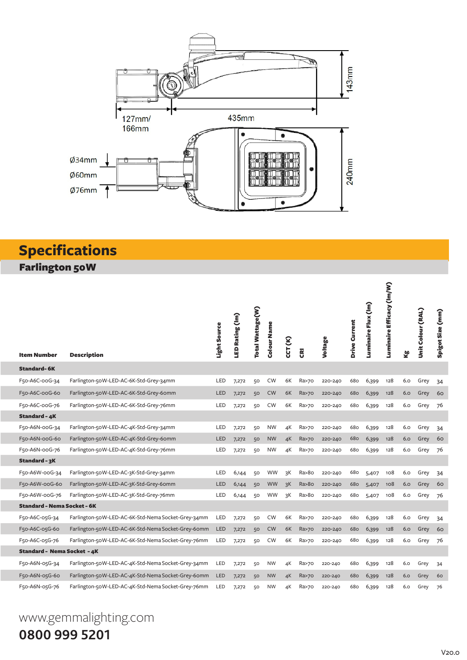

# **Specifications**

Farlington 50W

| <b>Item Number</b>                 | <b>Description</b>                                 | Light Source | LED Rating (Im) | Total Wattage(W) | Colour Name | CCT (K) | ĝ               | Voltage | Drive Current | Luminaire Flux (Im) | Luminaire Efficacy (Im/W) | Σå  | Unit Colour (RAL) | Spigot Size (mm) |
|------------------------------------|----------------------------------------------------|--------------|-----------------|------------------|-------------|---------|-----------------|---------|---------------|---------------------|---------------------------|-----|-------------------|------------------|
| <b>Standard-6K</b>                 |                                                    |              |                 |                  |             |         |                 |         |               |                     |                           |     |                   |                  |
| F50-A6C-00G-34                     | Farlington-50W-LED-AC-6K-Std-Grey-34mm             | LED          | 7,272           | 50               | CW          | 6K      | Ra>70           | 220-240 | 680           | 6,399               | 128                       | 6.0 | Grey              | 34               |
| F50-A6C-00G-60                     | Farlington-50W-LED-AC-6K-Std-Grey-60mm             | LED          | 7,272           | 50               | <b>CW</b>   | 6K      | Ra>70           | 220-240 | 680           | 6,399               | 128                       | 6.0 | Grey              | 60               |
| F50-A6C-00G-76                     | Farlington-50W-LED-AC-6K-Std-Grey-76mm             | LED          | 7,272           | 50               | <b>CW</b>   | 6K      | Ra>70           | 220-240 | 680           | 6,399               | 128                       | 6.0 | Grey              | 76               |
| <b>Standard - 4K</b>               |                                                    |              |                 |                  |             |         |                 |         |               |                     |                           |     |                   |                  |
| F50-A6N-00G-34                     | Farlington-50W-LED-AC-4K-Std-Grey-34mm             | LED          | 7,272           | 50               | <b>NW</b>   | 4К      | Ra>70           | 220-240 | 680           | 6,399               | 128                       | 6.0 | Grey              | 34               |
| F50-A6N-00G-60                     | Farlington-50W-LED-AC-4K-Std-Grey-60mm             | LED          | 7,272           | 50               | <b>NW</b>   | 4K      | Ra>70           | 220-240 | 680           | 6,399               | 128                       | 6.0 | Grey              | 60               |
| F50-A6N-00G-76                     | Farlington-50W-LED-AC-4K-Std-Grey-76mm             | LED          | 7,272           | 50               | <b>NW</b>   | 4К      | Ra>70           | 220-240 | 680           | 6,399               | 128                       | 6.0 | Grey              | 76               |
| Standard - 3K                      |                                                    |              |                 |                  |             |         |                 |         |               |                     |                           |     |                   |                  |
| F50-A6W-00G-34                     | Farlington-50W-LED-AC-3K-Std-Grey-34mm             | LED          | 6,144           | 50               | <b>WW</b>   | зK      | Ra>8o           | 220-240 | 680           | 5,407               | 108                       | 6.0 | Grey              | 34               |
| F50-A6W-00G-60                     | Farlington-50W-LED-AC-3K-Std-Grey-60mm             | LED          | 6,144           | 50               | <b>WW</b>   | зK      | Ra > 80         | 220-240 | 680           | 5,407               | 108                       | 6.0 | Grey              | 60               |
| F50-A6W-00G-76                     | Farlington-50W-LED-AC-3K-Std-Grey-76mm             | LED          | 6,144           | 50               | <b>WW</b>   | 3K      | Ra>8o           | 220-240 | 680           | 5,407               | 108                       | 6.0 | Grey              | 76               |
| <b>Standard - Nema Socket - 6K</b> |                                                    |              |                 |                  |             |         |                 |         |               |                     |                           |     |                   |                  |
| F50-A6C-05G-34                     | Farlington-50W-LED-AC-6K-Std-Nema Socket-Grey-34mm | LED          | 7,272           | 50               | <b>CW</b>   | 6K      | Ra>70           | 220-240 | 680           | 6,399               | 128                       | 6.0 | Grey              | 34               |
| F50-A6C-05G-60                     | Farlington-50W-LED-AC-6K-Std-Nema Socket-Grey-60mm | <b>LED</b>   | 7,272           | 50               | <b>CW</b>   | 6K      | <b>Ra&gt;70</b> | 220-240 | 680           | 6,399               | 128                       | 6.0 | Grey              | 60               |
| F50-A6C-05G-76                     | Farlington-50W-LED-AC-6K-Std-Nema Socket-Grey-76mm | <b>LED</b>   | 7,272           | 50               | CW          | 6K      | Ra>70           | 220-240 | 680           | 6,399               | 128                       | 6.0 | Grey              | 76               |
| <b>Standard - Nema Socket - 4K</b> |                                                    |              |                 |                  |             |         |                 |         |               |                     |                           |     |                   |                  |
| F50-A6N-05G-34                     | Farlington-50W-LED-AC-4K-Std-Nema Socket-Grey-34mm | LED          | 7,272           | 50               | <b>NW</b>   | 4K      | Ra>70           | 220-240 | 680           | 6,399               | 128                       | 6.0 | Grey              | 34               |
| F50-A6N-05G-60                     | Farlington-50W-LED-AC-4K-Std-Nema Socket-Grey-60mm | LED          | 7,272           | 50               | <b>NW</b>   | 4K      | Ra>70           | 220-240 | 680           | 6,399               | 128                       | 6.0 | Grey              | 60               |
| F50-A6N-05G-76                     | Farlington-50W-LED-AC-4K-Std-Nema Socket-Grey-76mm | LED          | 7,272           | 50               | <b>NW</b>   | 4К      | Ra>70           | 220-240 | 680           | 6,399               | 128                       | 6.0 | Grey              | 76               |

# www.gemmalighting.com **0800 999 5201**

V20.0